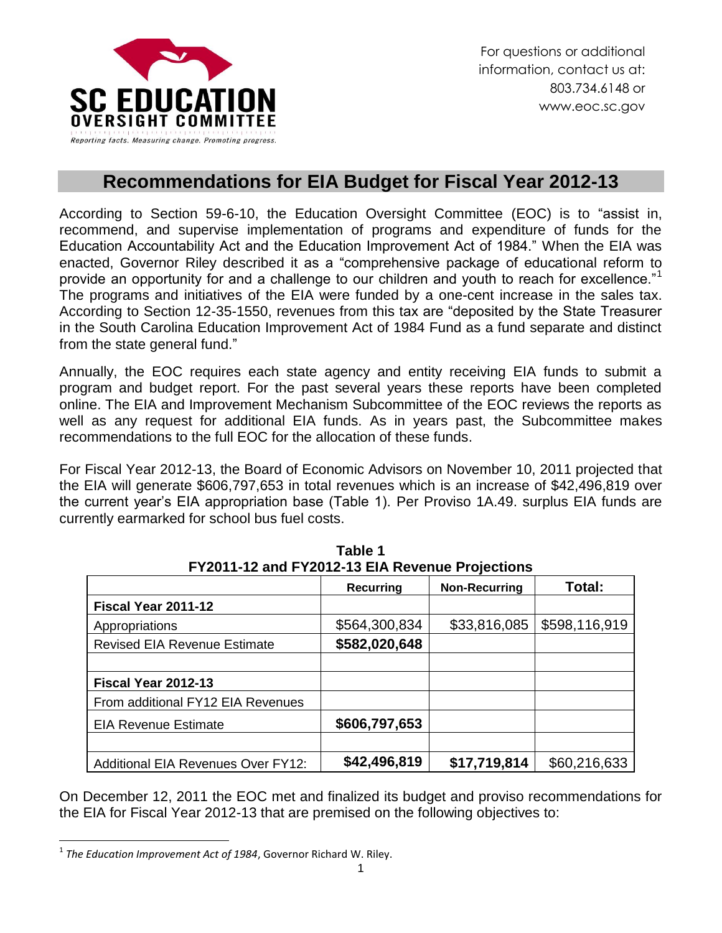

## **Recommendations for EIA Budget for Fiscal Year 2012-13**

According to Section 59-6-10, the Education Oversight Committee (EOC) is to "assist in, recommend, and supervise implementation of programs and expenditure of funds for the Education Accountability Act and the Education Improvement Act of 1984." When the EIA was enacted, Governor Riley described it as a "comprehensive package of educational reform to provide an opportunity for and a challenge to our children and youth to reach for excellence."<sup>1</sup> The programs and initiatives of the EIA were funded by a one-cent increase in the sales tax. According to Section 12-35-1550, revenues from this tax are "deposited by the State Treasurer in the South Carolina Education Improvement Act of 1984 Fund as a fund separate and distinct from the state general fund."

Annually, the EOC requires each state agency and entity receiving EIA funds to submit a program and budget report. For the past several years these reports have been completed online. The EIA and Improvement Mechanism Subcommittee of the EOC reviews the reports as well as any request for additional EIA funds. As in years past, the Subcommittee makes recommendations to the full EOC for the allocation of these funds.

For Fiscal Year 2012-13, the Board of Economic Advisors on November 10, 2011 projected that the EIA will generate \$606,797,653 in total revenues which is an increase of \$42,496,819 over the current year's EIA appropriation base (Table 1). Per Proviso 1A.49. surplus EIA funds are currently earmarked for school bus fuel costs.

|                                           | <b>Recurring</b> | <b>Non-Recurring</b> | Total:        |
|-------------------------------------------|------------------|----------------------|---------------|
| Fiscal Year 2011-12                       |                  |                      |               |
| Appropriations                            | \$564,300,834    | \$33,816,085         | \$598,116,919 |
| <b>Revised EIA Revenue Estimate</b>       | \$582,020,648    |                      |               |
|                                           |                  |                      |               |
| Fiscal Year 2012-13                       |                  |                      |               |
| From additional FY12 EIA Revenues         |                  |                      |               |
| <b>EIA Revenue Estimate</b>               | \$606,797,653    |                      |               |
|                                           |                  |                      |               |
| <b>Additional EIA Revenues Over FY12:</b> | \$42,496,819     | \$17,719,814         | \$60,216,633  |

**Table 1 FY2011-12 and FY2012-13 EIA Revenue Projections**

On December 12, 2011 the EOC met and finalized its budget and proviso recommendations for the EIA for Fiscal Year 2012-13 that are premised on the following objectives to:

 $\overline{a}$ 1 *The Education Improvement Act of 1984*, Governor Richard W. Riley.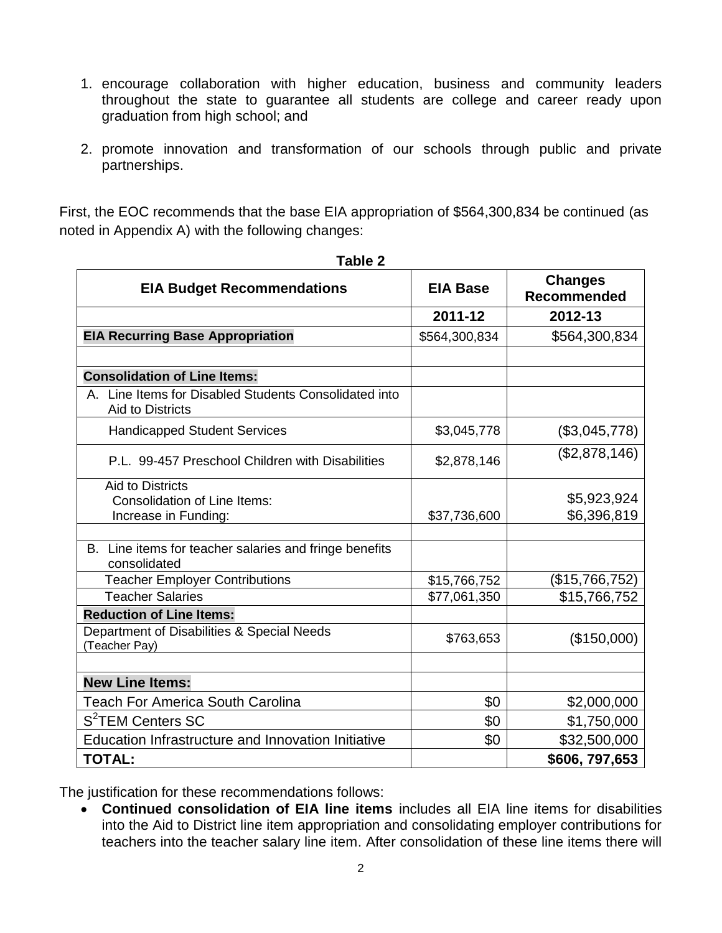- 1. encourage collaboration with higher education, business and community leaders throughout the state to guarantee all students are college and career ready upon graduation from high school; and
- 2. promote innovation and transformation of our schools through public and private partnerships.

First, the EOC recommends that the base EIA appropriation of \$564,300,834 be continued (as noted in Appendix A) with the following changes:

| <b>EIA Budget Recommendations</b>                                                      | <b>EIA Base</b> | <b>Changes</b><br><b>Recommended</b> |
|----------------------------------------------------------------------------------------|-----------------|--------------------------------------|
|                                                                                        | 2011-12         | 2012-13                              |
| <b>EIA Recurring Base Appropriation</b>                                                | \$564,300,834   | \$564,300,834                        |
|                                                                                        |                 |                                      |
| <b>Consolidation of Line Items:</b>                                                    |                 |                                      |
| Line Items for Disabled Students Consolidated into<br><b>Aid to Districts</b>          |                 |                                      |
| <b>Handicapped Student Services</b>                                                    | \$3,045,778     | (\$3,045,778)                        |
| P.L. 99-457 Preschool Children with Disabilities                                       | \$2,878,146     | (\$2,878,146)                        |
| <b>Aid to Districts</b><br><b>Consolidation of Line Items:</b><br>Increase in Funding: | \$37,736,600    | \$5,923,924<br>\$6,396,819           |
|                                                                                        |                 |                                      |
| B. Line items for teacher salaries and fringe benefits<br>consolidated                 |                 |                                      |
| <b>Teacher Employer Contributions</b>                                                  | \$15,766,752    | (\$15,766,752)                       |
| <b>Teacher Salaries</b>                                                                | \$77,061,350    | \$15,766,752                         |
| <b>Reduction of Line Items:</b>                                                        |                 |                                      |
| Department of Disabilities & Special Needs<br>(Teacher Pay)                            | \$763,653       | (\$150,000)                          |
|                                                                                        |                 |                                      |
| <b>New Line Items:</b>                                                                 |                 |                                      |
| <b>Teach For America South Carolina</b>                                                | \$0             | \$2,000,000                          |
| S <sup>2</sup> TEM Centers SC                                                          | \$0             | \$1,750,000                          |
| Education Infrastructure and Innovation Initiative                                     | \$0             | \$32,500,000                         |
| <b>TOTAL:</b>                                                                          |                 | \$606, 797, 653                      |

**Table 2**

The justification for these recommendations follows:

 **Continued consolidation of EIA line items** includes all EIA line items for disabilities into the Aid to District line item appropriation and consolidating employer contributions for teachers into the teacher salary line item. After consolidation of these line items there will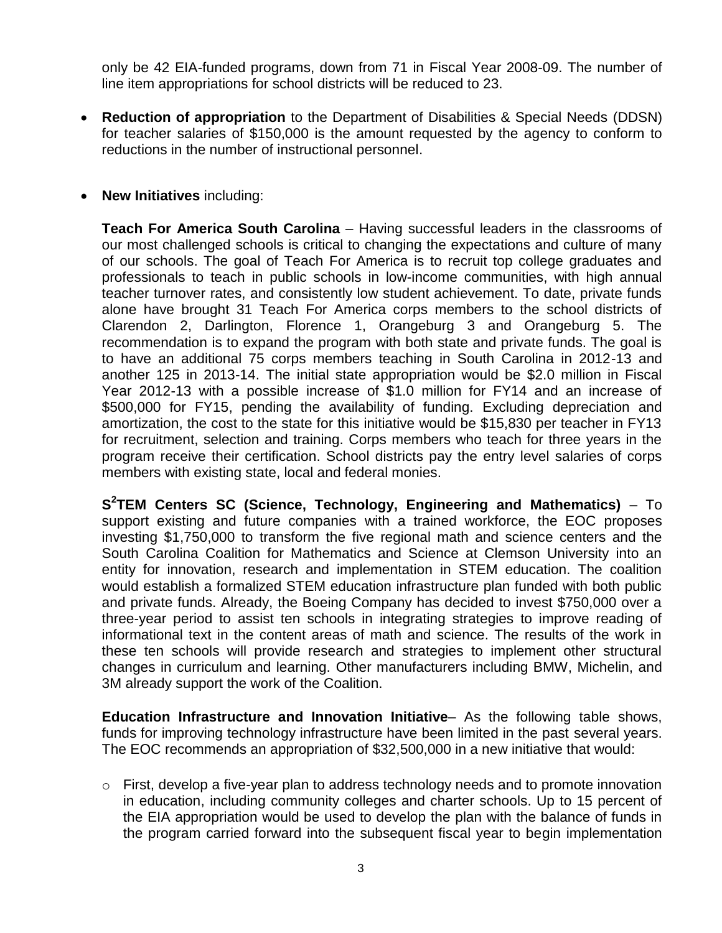only be 42 EIA-funded programs, down from 71 in Fiscal Year 2008-09. The number of line item appropriations for school districts will be reduced to 23.

- **Reduction of appropriation** to the Department of Disabilities & Special Needs (DDSN) for teacher salaries of \$150,000 is the amount requested by the agency to conform to reductions in the number of instructional personnel.
- **New Initiatives** including:

**Teach For America South Carolina** – Having successful leaders in the classrooms of our most challenged schools is critical to changing the expectations and culture of many of our schools. The goal of Teach For America is to recruit top college graduates and professionals to teach in public schools in low-income communities, with high annual teacher turnover rates, and consistently low student achievement. To date, private funds alone have brought 31 Teach For America corps members to the school districts of Clarendon 2, Darlington, Florence 1, Orangeburg 3 and Orangeburg 5. The recommendation is to expand the program with both state and private funds. The goal is to have an additional 75 corps members teaching in South Carolina in 2012-13 and another 125 in 2013-14. The initial state appropriation would be \$2.0 million in Fiscal Year 2012-13 with a possible increase of \$1.0 million for FY14 and an increase of \$500,000 for FY15, pending the availability of funding. Excluding depreciation and amortization, the cost to the state for this initiative would be \$15,830 per teacher in FY13 for recruitment, selection and training. Corps members who teach for three years in the program receive their certification. School districts pay the entry level salaries of corps members with existing state, local and federal monies.

**S 2 TEM Centers SC (Science, Technology, Engineering and Mathematics)** – To support existing and future companies with a trained workforce, the EOC proposes investing \$1,750,000 to transform the five regional math and science centers and the South Carolina Coalition for Mathematics and Science at Clemson University into an entity for innovation, research and implementation in STEM education. The coalition would establish a formalized STEM education infrastructure plan funded with both public and private funds. Already, the Boeing Company has decided to invest \$750,000 over a three-year period to assist ten schools in integrating strategies to improve reading of informational text in the content areas of math and science. The results of the work in these ten schools will provide research and strategies to implement other structural changes in curriculum and learning. Other manufacturers including BMW, Michelin, and 3M already support the work of the Coalition.

**Education Infrastructure and Innovation Initiative**– As the following table shows, funds for improving technology infrastructure have been limited in the past several years. The EOC recommends an appropriation of \$32,500,000 in a new initiative that would:

 $\circ$  First, develop a five-year plan to address technology needs and to promote innovation in education, including community colleges and charter schools. Up to 15 percent of the EIA appropriation would be used to develop the plan with the balance of funds in the program carried forward into the subsequent fiscal year to begin implementation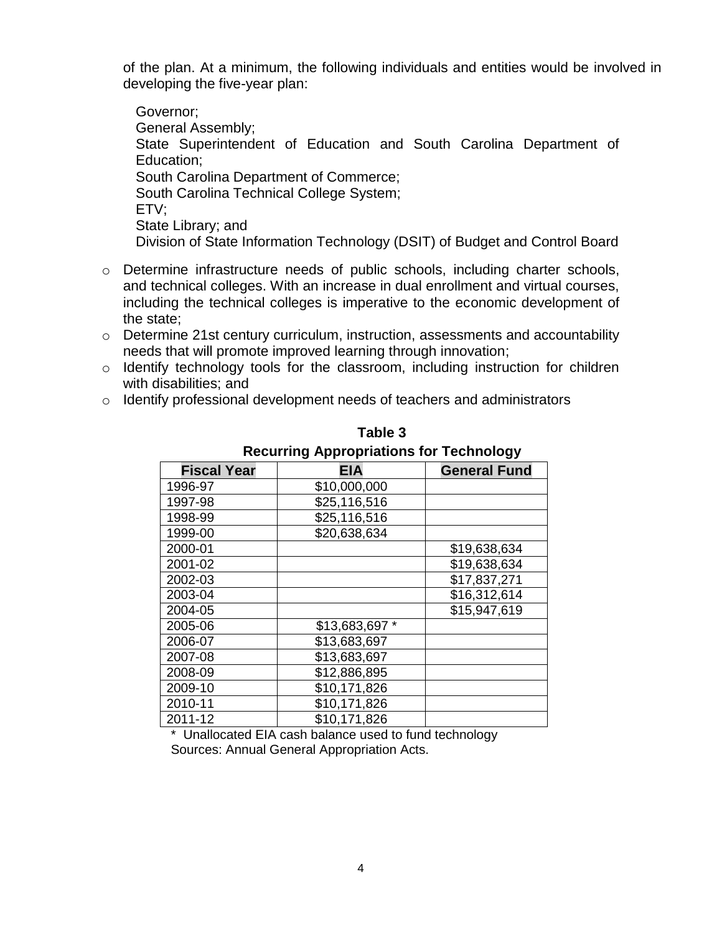of the plan. At a minimum, the following individuals and entities would be involved in developing the five-year plan:

Governor; General Assembly; State Superintendent of Education and South Carolina Department of Education; South Carolina Department of Commerce; South Carolina Technical College System; ETV; State Library; and Division of State Information Technology (DSIT) of Budget and Control Board

- o Determine infrastructure needs of public schools, including charter schools, and technical colleges. With an increase in dual enrollment and virtual courses, including the technical colleges is imperative to the economic development of the state;
- o Determine 21st century curriculum, instruction, assessments and accountability needs that will promote improved learning through innovation;
- o Identify technology tools for the classroom, including instruction for children with disabilities; and
- o Identify professional development needs of teachers and administrators

| 70 P P P P P P P<br>- - |                |                     |
|-------------------------|----------------|---------------------|
| <b>Fiscal Year</b>      | <b>EIA</b>     | <b>General Fund</b> |
| 1996-97                 | \$10,000,000   |                     |
| 1997-98                 | \$25,116,516   |                     |
| 1998-99                 | \$25,116,516   |                     |
| 1999-00                 | \$20,638,634   |                     |
| 2000-01                 |                | \$19,638,634        |
| 2001-02                 |                | \$19,638,634        |
| 2002-03                 |                | \$17,837,271        |
| 2003-04                 |                | \$16,312,614        |
| 2004-05                 |                | \$15,947,619        |
| 2005-06                 | \$13,683,697 * |                     |
| 2006-07                 | \$13,683,697   |                     |
| 2007-08                 | \$13,683,697   |                     |
| 2008-09                 | \$12,886,895   |                     |
| 2009-10                 | \$10,171,826   |                     |
| 2010-11                 | \$10,171,826   |                     |
| 2011-12                 | \$10,171,826   |                     |

**Table 3 Recurring Appropriations for Technology**

\* Unallocated EIA cash balance used to fund technology Sources: Annual General Appropriation Acts.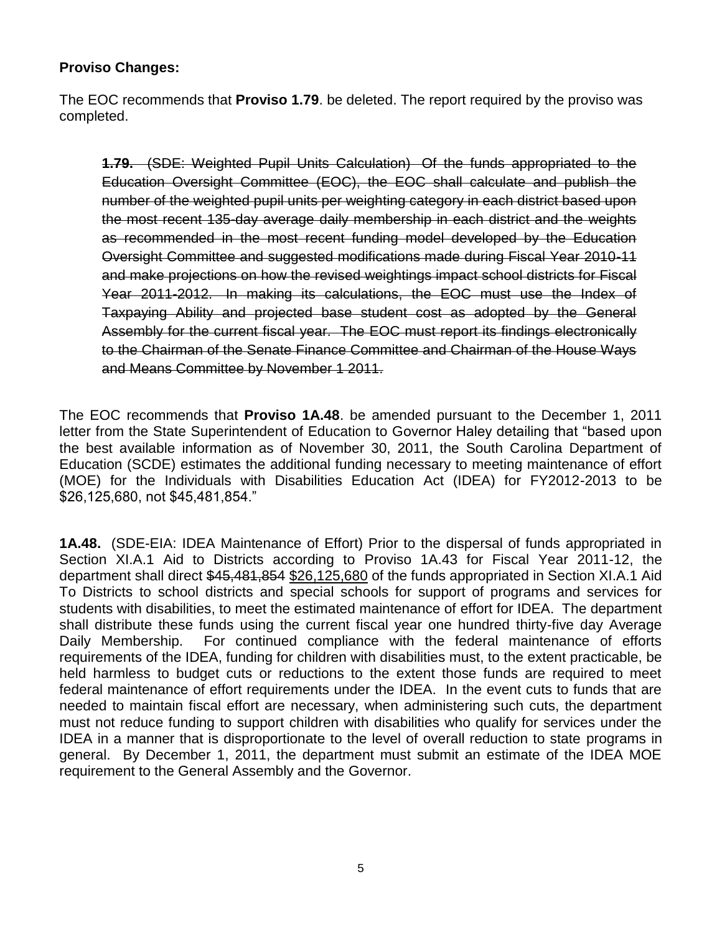## **Proviso Changes:**

The EOC recommends that **Proviso 1.79**. be deleted. The report required by the proviso was completed.

**1.79.** (SDE: Weighted Pupil Units Calculation) Of the funds appropriated to the Education Oversight Committee (EOC), the EOC shall calculate and publish the number of the weighted pupil units per weighting category in each district based upon the most recent 135-day average daily membership in each district and the weights as recommended in the most recent funding model developed by the Education Oversight Committee and suggested modifications made during Fiscal Year 2010-11 and make projections on how the revised weightings impact school districts for Fiscal Year 2011-2012. In making its calculations, the EOC must use the Index of Taxpaying Ability and projected base student cost as adopted by the General Assembly for the current fiscal year. The EOC must report its findings electronically to the Chairman of the Senate Finance Committee and Chairman of the House Ways and Means Committee by November 1 2011.

The EOC recommends that **Proviso 1A.48**. be amended pursuant to the December 1, 2011 letter from the State Superintendent of Education to Governor Haley detailing that "based upon the best available information as of November 30, 2011, the South Carolina Department of Education (SCDE) estimates the additional funding necessary to meeting maintenance of effort (MOE) for the Individuals with Disabilities Education Act (IDEA) for FY2012-2013 to be \$26,125,680, not \$45,481,854."

**1A.48.** (SDE-EIA: IDEA Maintenance of Effort) Prior to the dispersal of funds appropriated in Section XI.A.1 Aid to Districts according to Proviso 1A.43 for Fiscal Year 2011-12, the department shall direct \$45,481,854 \$26,125,680 of the funds appropriated in Section XI.A.1 Aid To Districts to school districts and special schools for support of programs and services for students with disabilities, to meet the estimated maintenance of effort for IDEA. The department shall distribute these funds using the current fiscal year one hundred thirty-five day Average Daily Membership. For continued compliance with the federal maintenance of efforts requirements of the IDEA, funding for children with disabilities must, to the extent practicable, be held harmless to budget cuts or reductions to the extent those funds are required to meet federal maintenance of effort requirements under the IDEA. In the event cuts to funds that are needed to maintain fiscal effort are necessary, when administering such cuts, the department must not reduce funding to support children with disabilities who qualify for services under the IDEA in a manner that is disproportionate to the level of overall reduction to state programs in general. By December 1, 2011, the department must submit an estimate of the IDEA MOE requirement to the General Assembly and the Governor.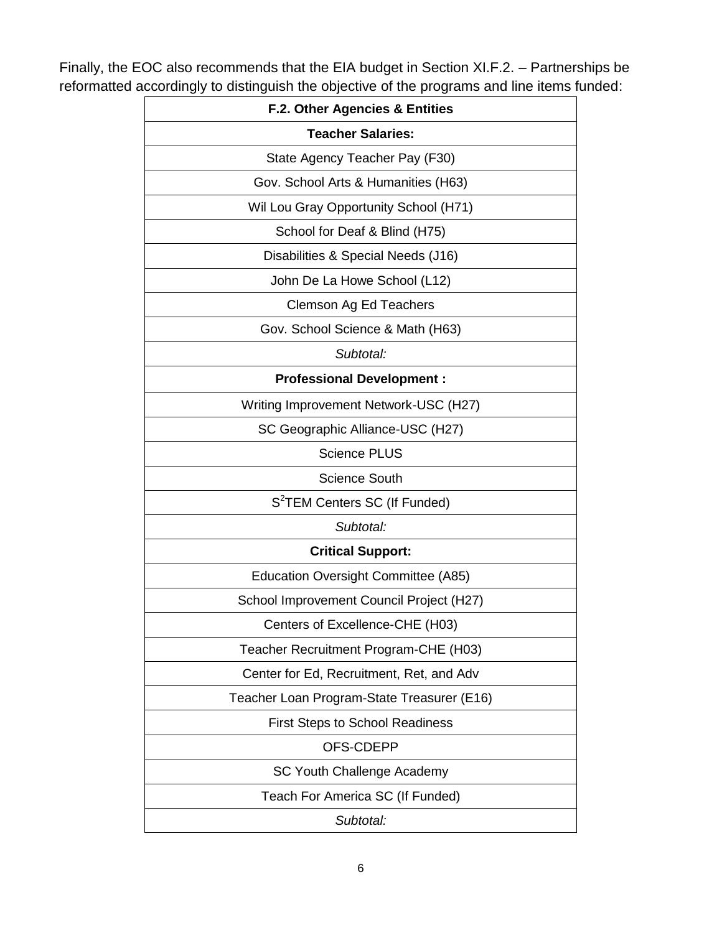Finally, the EOC also recommends that the EIA budget in Section XI.F.2. – Partnerships be reformatted accordingly to distinguish the objective of the programs and line items funded:

| <b>F.2. Other Agencies &amp; Entities</b>  |  |
|--------------------------------------------|--|
| <b>Teacher Salaries:</b>                   |  |
| State Agency Teacher Pay (F30)             |  |
| Gov. School Arts & Humanities (H63)        |  |
| Wil Lou Gray Opportunity School (H71)      |  |
| School for Deaf & Blind (H75)              |  |
| Disabilities & Special Needs (J16)         |  |
| John De La Howe School (L12)               |  |
| Clemson Ag Ed Teachers                     |  |
| Gov. School Science & Math (H63)           |  |
| Subtotal:                                  |  |
| <b>Professional Development:</b>           |  |
| Writing Improvement Network-USC (H27)      |  |
| SC Geographic Alliance-USC (H27)           |  |
| <b>Science PLUS</b>                        |  |
| <b>Science South</b>                       |  |
| S <sup>2</sup> TEM Centers SC (If Funded)  |  |
| Subtotal:                                  |  |
| <b>Critical Support:</b>                   |  |
| Education Oversight Committee (A85)        |  |
| School Improvement Council Project (H27)   |  |
| Centers of Excellence-CHE (H03)            |  |
| Teacher Recruitment Program-CHE (H03)      |  |
| Center for Ed, Recruitment, Ret, and Adv   |  |
| Teacher Loan Program-State Treasurer (E16) |  |
| <b>First Steps to School Readiness</b>     |  |
| OFS-CDEPP                                  |  |
| SC Youth Challenge Academy                 |  |
| Teach For America SC (If Funded)           |  |
| Subtotal:                                  |  |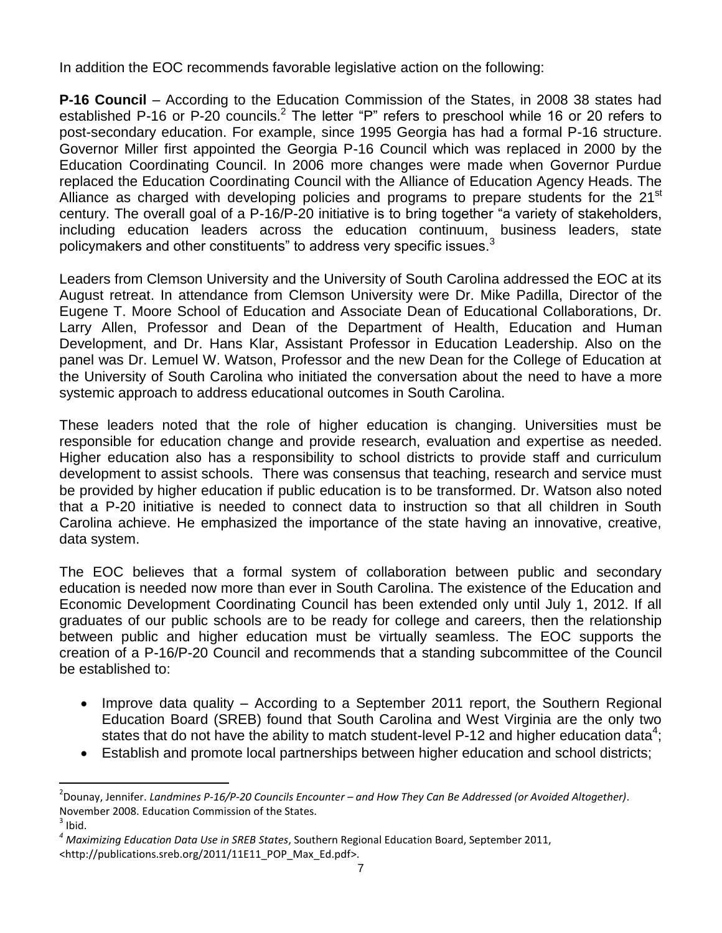In addition the EOC recommends favorable legislative action on the following:

**P-16 Council** – According to the Education Commission of the States, in 2008 38 states had established P-16 or P-20 councils.<sup>2</sup> The letter "P" refers to preschool while 16 or 20 refers to post-secondary education. For example, since 1995 Georgia has had a formal P-16 structure. Governor Miller first appointed the Georgia P-16 Council which was replaced in 2000 by the Education Coordinating Council. In 2006 more changes were made when Governor Purdue replaced the Education Coordinating Council with the Alliance of Education Agency Heads. The Alliance as charged with developing policies and programs to prepare students for the 21<sup>st</sup> century. The overall goal of a P-16/P-20 initiative is to bring together "a variety of stakeholders, including education leaders across the education continuum, business leaders, state policymakers and other constituents" to address very specific issues.<sup>3</sup>

Leaders from Clemson University and the University of South Carolina addressed the EOC at its August retreat. In attendance from Clemson University were Dr. Mike Padilla, Director of the Eugene T. Moore School of Education and Associate Dean of Educational Collaborations, Dr. Larry Allen, Professor and Dean of the Department of Health, Education and Human Development, and Dr. Hans Klar, Assistant Professor in Education Leadership. Also on the panel was Dr. Lemuel W. Watson, Professor and the new Dean for the College of Education at the University of South Carolina who initiated the conversation about the need to have a more systemic approach to address educational outcomes in South Carolina.

These leaders noted that the role of higher education is changing. Universities must be responsible for education change and provide research, evaluation and expertise as needed. Higher education also has a responsibility to school districts to provide staff and curriculum development to assist schools. There was consensus that teaching, research and service must be provided by higher education if public education is to be transformed. Dr. Watson also noted that a P-20 initiative is needed to connect data to instruction so that all children in South Carolina achieve. He emphasized the importance of the state having an innovative, creative, data system.

The EOC believes that a formal system of collaboration between public and secondary education is needed now more than ever in South Carolina. The existence of the Education and Economic Development Coordinating Council has been extended only until July 1, 2012. If all graduates of our public schools are to be ready for college and careers, then the relationship between public and higher education must be virtually seamless. The EOC supports the creation of a P-16/P-20 Council and recommends that a standing subcommittee of the Council be established to:

- Improve data quality According to a September 2011 report, the Southern Regional Education Board (SREB) found that South Carolina and West Virginia are the only two states that do not have the ability to match student-level P-12 and higher education data<sup>4</sup>;
- Establish and promote local partnerships between higher education and school districts;

 $\ddot{\phantom{a}}$ 

<sup>2</sup> Dounay, Jennifer. *Landmines P-16/P-20 Councils Encounter – and How They Can Be Addressed (or Avoided Altogether)*. November 2008. Education Commission of the States.

 $3$  Ibid.

*<sup>4</sup> Maximizing Education Data Use in SREB States*, Southern Regional Education Board, September 2011, <http://publications.sreb.org/2011/11E11\_POP\_Max\_Ed.pdf>.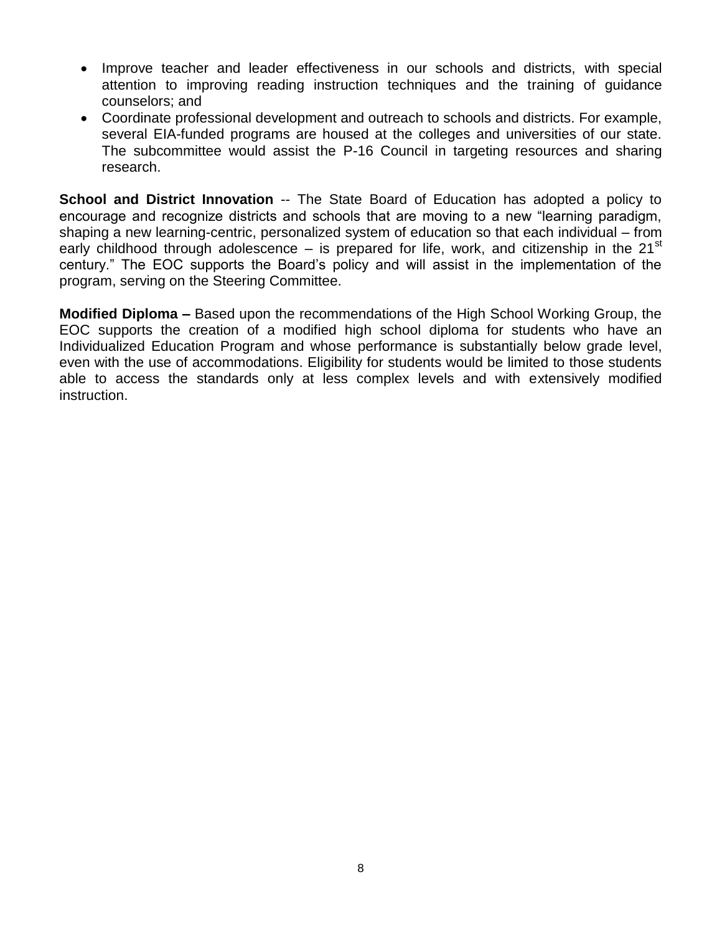- Improve teacher and leader effectiveness in our schools and districts, with special attention to improving reading instruction techniques and the training of guidance counselors; and
- Coordinate professional development and outreach to schools and districts. For example, several EIA-funded programs are housed at the colleges and universities of our state. The subcommittee would assist the P-16 Council in targeting resources and sharing research.

**School and District Innovation** -- The State Board of Education has adopted a policy to encourage and recognize districts and schools that are moving to a new "learning paradigm, shaping a new learning-centric, personalized system of education so that each individual – from early childhood through adolescence – is prepared for life, work, and citizenship in the  $21^{st}$ century." The EOC supports the Board's policy and will assist in the implementation of the program, serving on the Steering Committee.

**Modified Diploma –** Based upon the recommendations of the High School Working Group, the EOC supports the creation of a modified high school diploma for students who have an Individualized Education Program and whose performance is substantially below grade level, even with the use of accommodations. Eligibility for students would be limited to those students able to access the standards only at less complex levels and with extensively modified instruction.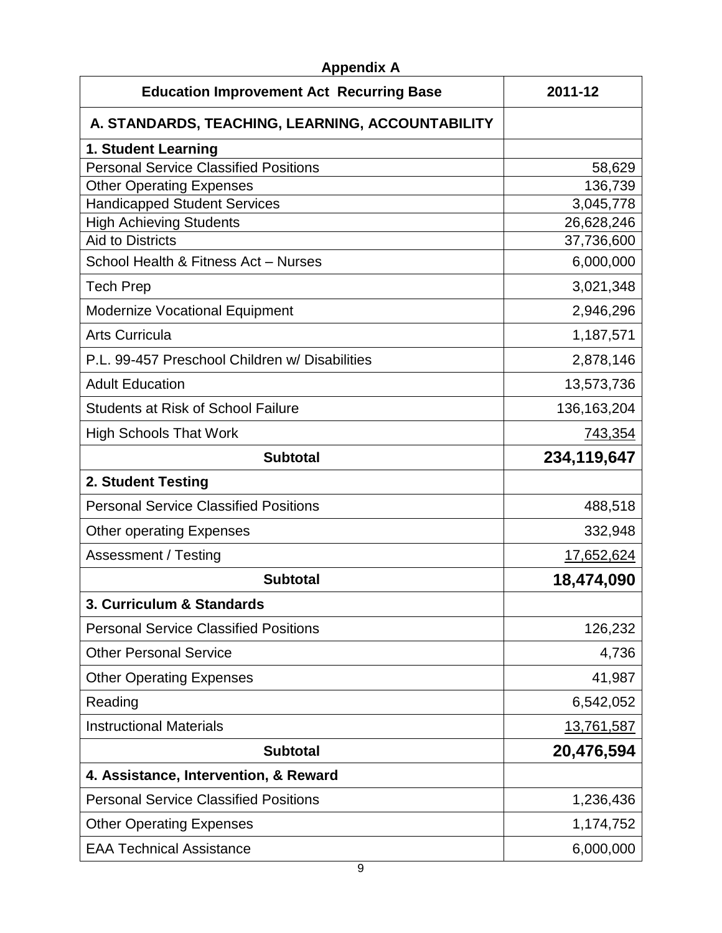| <b>Appendix A</b><br><b>Education Improvement Act Recurring Base</b> | 2011-12       |
|----------------------------------------------------------------------|---------------|
| A. STANDARDS, TEACHING, LEARNING, ACCOUNTABILITY                     |               |
| 1. Student Learning                                                  |               |
| <b>Personal Service Classified Positions</b>                         | 58,629        |
| <b>Other Operating Expenses</b>                                      | 136,739       |
| <b>Handicapped Student Services</b>                                  | 3,045,778     |
| <b>High Achieving Students</b>                                       | 26,628,246    |
| <b>Aid to Districts</b>                                              | 37,736,600    |
| School Health & Fitness Act - Nurses                                 | 6,000,000     |
| <b>Tech Prep</b>                                                     | 3,021,348     |
| <b>Modernize Vocational Equipment</b>                                | 2,946,296     |
| <b>Arts Curricula</b>                                                | 1,187,571     |
| P.L. 99-457 Preschool Children w/ Disabilities                       | 2,878,146     |
| <b>Adult Education</b>                                               | 13,573,736    |
| <b>Students at Risk of School Failure</b>                            | 136, 163, 204 |
| <b>High Schools That Work</b>                                        | 743,354       |
| <b>Subtotal</b>                                                      | 234,119,647   |
| 2. Student Testing                                                   |               |
| <b>Personal Service Classified Positions</b>                         | 488,518       |
| <b>Other operating Expenses</b>                                      | 332,948       |
| Assessment / Testing                                                 | 17,652,624    |
| <b>Subtotal</b>                                                      | 18,474,090    |
| 3. Curriculum & Standards                                            |               |
| <b>Personal Service Classified Positions</b>                         | 126,232       |
| <b>Other Personal Service</b>                                        | 4,736         |
| <b>Other Operating Expenses</b>                                      | 41,987        |
| Reading                                                              | 6,542,052     |
| <b>Instructional Materials</b>                                       | 13,761,587    |
| <b>Subtotal</b>                                                      | 20,476,594    |
| 4. Assistance, Intervention, & Reward                                |               |
| <b>Personal Service Classified Positions</b>                         | 1,236,436     |
| <b>Other Operating Expenses</b>                                      | 1,174,752     |
| <b>EAA Technical Assistance</b>                                      | 6,000,000     |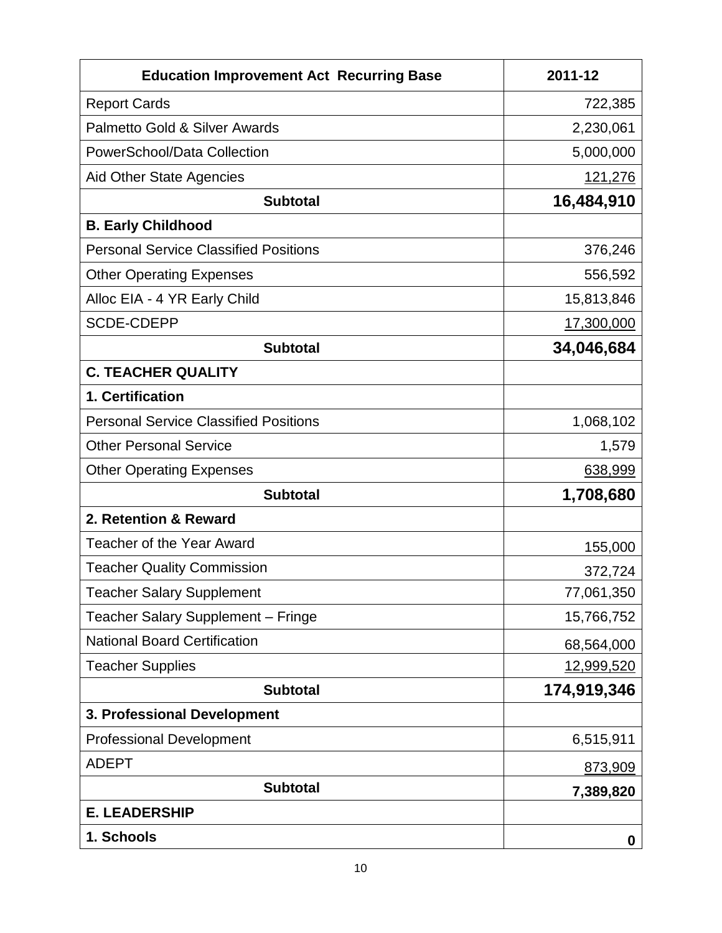| <b>Education Improvement Act Recurring Base</b> | 2011-12        |
|-------------------------------------------------|----------------|
| <b>Report Cards</b>                             | 722,385        |
| Palmetto Gold & Silver Awards                   | 2,230,061      |
| PowerSchool/Data Collection                     | 5,000,000      |
| <b>Aid Other State Agencies</b>                 | <u>121,276</u> |
| <b>Subtotal</b>                                 | 16,484,910     |
| <b>B. Early Childhood</b>                       |                |
| <b>Personal Service Classified Positions</b>    | 376,246        |
| <b>Other Operating Expenses</b>                 | 556,592        |
| Alloc EIA - 4 YR Early Child                    | 15,813,846     |
| <b>SCDE-CDEPP</b>                               | 17,300,000     |
| <b>Subtotal</b>                                 | 34,046,684     |
| <b>C. TEACHER QUALITY</b>                       |                |
| 1. Certification                                |                |
| <b>Personal Service Classified Positions</b>    | 1,068,102      |
| <b>Other Personal Service</b>                   | 1,579          |
| <b>Other Operating Expenses</b>                 | 638,999        |
| <b>Subtotal</b>                                 | 1,708,680      |
| 2. Retention & Reward                           |                |
| <b>Teacher of the Year Award</b>                | 155,000        |
| <b>Teacher Quality Commission</b>               | 372,724        |
| <b>Teacher Salary Supplement</b>                | 77,061,350     |
| Teacher Salary Supplement - Fringe              | 15,766,752     |
| <b>National Board Certification</b>             | 68,564,000     |
| <b>Teacher Supplies</b>                         | 12,999,520     |
| <b>Subtotal</b>                                 | 174,919,346    |
| 3. Professional Development                     |                |
| <b>Professional Development</b>                 | 6,515,911      |
| <b>ADEPT</b>                                    | 873,909        |
| <b>Subtotal</b>                                 | 7,389,820      |
| <b>E. LEADERSHIP</b>                            |                |
| 1. Schools                                      | 0              |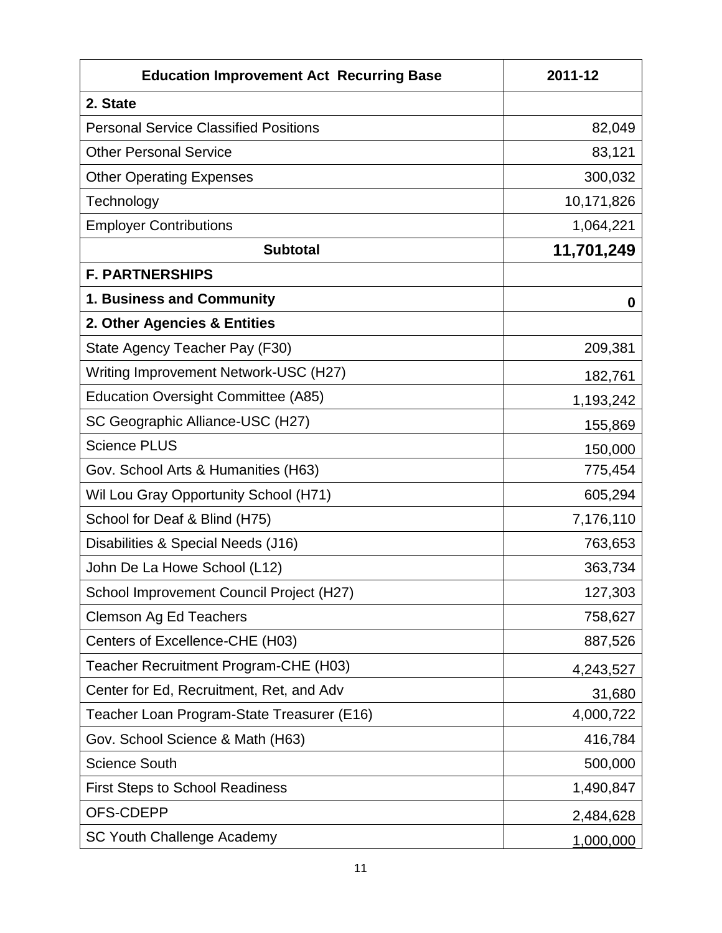| <b>Education Improvement Act Recurring Base</b> | 2011-12    |
|-------------------------------------------------|------------|
| 2. State                                        |            |
| <b>Personal Service Classified Positions</b>    | 82,049     |
| <b>Other Personal Service</b>                   | 83,121     |
| <b>Other Operating Expenses</b>                 | 300,032    |
| Technology                                      | 10,171,826 |
| <b>Employer Contributions</b>                   | 1,064,221  |
| <b>Subtotal</b>                                 | 11,701,249 |
| <b>F. PARTNERSHIPS</b>                          |            |
| 1. Business and Community                       | 0          |
| 2. Other Agencies & Entities                    |            |
| State Agency Teacher Pay (F30)                  | 209,381    |
| Writing Improvement Network-USC (H27)           | 182,761    |
| <b>Education Oversight Committee (A85)</b>      | 1,193,242  |
| SC Geographic Alliance-USC (H27)                | 155,869    |
| <b>Science PLUS</b>                             | 150,000    |
| Gov. School Arts & Humanities (H63)             | 775,454    |
| Wil Lou Gray Opportunity School (H71)           | 605,294    |
| School for Deaf & Blind (H75)                   | 7,176,110  |
| Disabilities & Special Needs (J16)              | 763,653    |
| John De La Howe School (L12)                    | 363,734    |
| School Improvement Council Project (H27)        | 127,303    |
| <b>Clemson Ag Ed Teachers</b>                   | 758,627    |
| Centers of Excellence-CHE (H03)                 | 887,526    |
| Teacher Recruitment Program-CHE (H03)           | 4,243,527  |
| Center for Ed, Recruitment, Ret, and Adv        | 31,680     |
| Teacher Loan Program-State Treasurer (E16)      | 4,000,722  |
| Gov. School Science & Math (H63)                | 416,784    |
| <b>Science South</b>                            | 500,000    |
| <b>First Steps to School Readiness</b>          | 1,490,847  |
| OFS-CDEPP                                       | 2,484,628  |
| <b>SC Youth Challenge Academy</b>               | 1,000,000  |